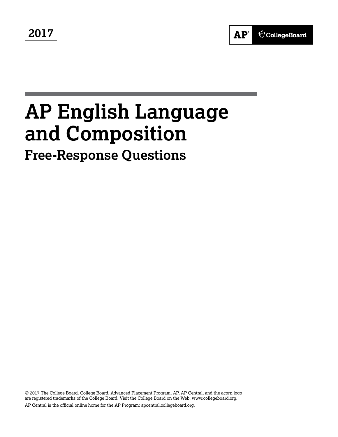**2017**



# **AP English Language and Composition**

# **Free-Response Questions**

© 2017 The College Board. College Board, Advanced Placement Program, AP, AP Central, and the acorn logo are registered trademarks of the College Board. Visit the College Board on the Web: www.collegeboard.org. AP Central is the official online home for the AP Program: apcentral.collegeboard.org.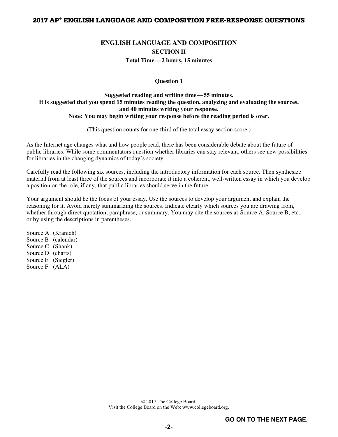# **ENGLISH LANGUAGE AND COMPOSITION SECTION II Total Time—2 hours, 15 minutes**

#### **Question 1**

#### **Suggested reading and writing time—55 minutes. It is suggested that you spend 15 minutes reading the question, analyzing and evaluating the sources, and 40 minutes writing your response. Note: You may begin writing your response before the reading period is over.**

(This question counts for one-third of the total essay section score.)

As the Internet age changes what and how people read, there has been considerable debate about the future of public libraries. While some commentators question whether libraries can stay relevant, others see new possibilities for libraries in the changing dynamics of today's society.

Carefully read the following six sources, including the introductory information for each source. Then synthesize material from at least three of the sources and incorporate it into a coherent, well-written essay in which you develop a position on the role, if any, that public libraries should serve in the future.

Your argument should be the focus of your essay. Use the sources to develop your argument and explain the reasoning for it. Avoid merely summarizing the sources. Indicate clearly which sources you are drawing from, whether through direct quotation, paraphrase, or summary. You may cite the sources as Source A, Source B, etc., or by using the descriptions in parentheses.

Source A (Kranich) Source B (calendar) Source C (Shank) Source D (charts) Source E (Siegler) Source F (ALA)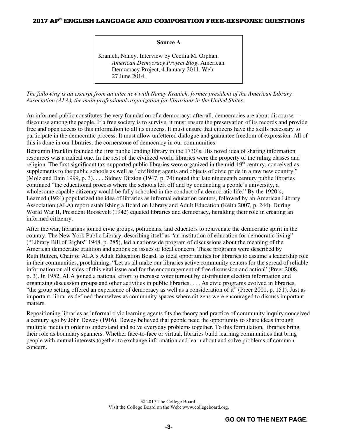**Source A** 

Kranich, Nancy. Interview by Cecilia M. Orphan. *American Democracy Project Blog*. American Democracy Project, 4 January 2011. Web. 27 June 2014.

*The following is an excerpt from an interview with Nancy Kranich, former president of the American Library Association (ALA), the main professional organization for librarians in the United States.* 

An informed public constitutes the very foundation of a democracy; after all, democracies are about discourse discourse among the people. If a free society is to survive, it must ensure the preservation of its records and provide free and open access to this information to all its citizens. It must ensure that citizens have the skills necessary to participate in the democratic process. It must allow unfettered dialogue and guarantee freedom of expression. All of this is done in our libraries, the cornerstone of democracy in our communities.

Benjamin Franklin founded the first public lending library in the 1730's. His novel idea of sharing information resources was a radical one. In the rest of the civilized world libraries were the property of the ruling classes and religion. The first significant tax-supported public libraries were organized in the mid-19<sup>th</sup> century, conceived as supplements to the public schools as well as "civilizing agents and objects of civic pride in a raw new country." (Molz and Dain 1999, p. 3). . . . Sidney Ditzion (1947, p. 74) noted that late nineteenth century public libraries continued "the educational process where the schools left off and by conducting a people's university, a wholesome capable citizenry would be fully schooled in the conduct of a democratic life." By the 1920's, Learned (1924) popularized the idea of libraries as informal education centers, followed by an American Library Association (ALA) report establishing a Board on Library and Adult Education (Keith 2007, p. 244). During World War II, President Roosevelt (1942) equated libraries and democracy, heralding their role in creating an informed citizenry.

After the war, librarians joined civic groups, politicians, and educators to rejuvenate the democratic spirit in the country. The New York Public Library, describing itself as "an institution of education for democratic living" ("Library Bill of Rights" 1948, p. 285), led a nationwide program of discussions about the meaning of the American democratic tradition and actions on issues of local concern. These programs were described by Ruth Rutzen, Chair of ALA's Adult Education Board, as ideal opportunities for libraries to assume a leadership role in their communities, proclaiming, "Let us all make our libraries active community centers for the spread of reliable information on all sides of this vital issue and for the encouragement of free discussion and action" (Preer 2008, p. 3). In 1952, ALA joined a national effort to increase voter turnout by distributing election information and organizing discussion groups and other activities in public libraries. . . . As civic programs evolved in libraries, "the group setting offered an experience of democracy as well as a consideration of it" (Preer 2001, p. 151). Just as important, libraries defined themselves as community spaces where citizens were encouraged to discuss important matters.

Repositioning libraries as informal civic learning agents fits the theory and practice of community inquiry conceived a century ago by John Dewey (1916). Dewey believed that people need the opportunity to share ideas through multiple media in order to understand and solve everyday problems together. To this formulation, libraries bring their role as boundary spanners. Whether face-to-face or virtual, libraries build learning communities that bring people with mutual interests together to exchange information and learn about and solve problems of common concern.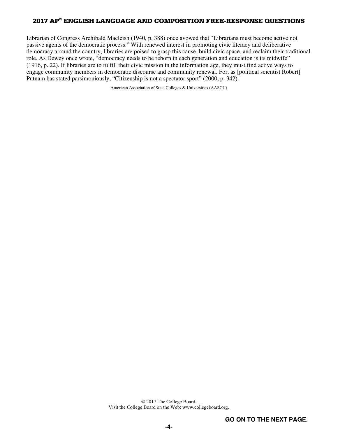Librarian of Congress Archibald Macleish (1940, p. 388) once avowed that "Librarians must become active not passive agents of the democratic process." With renewed interest in promoting civic literacy and deliberative democracy around the country, libraries are poised to grasp this cause, build civic space, and reclaim their traditional role. As Dewey once wrote, "democracy needs to be reborn in each generation and education is its midwife" (1916, p. 22). If libraries are to fulfill their civic mission in the information age, they must find active ways to engage community members in democratic discourse and community renewal. For, as [political scientist Robert] Putnam has stated parsimoniously, "Citizenship is not a spectator sport" (2000, p. 342).

American Association of State Colleges & Universities (AASCU)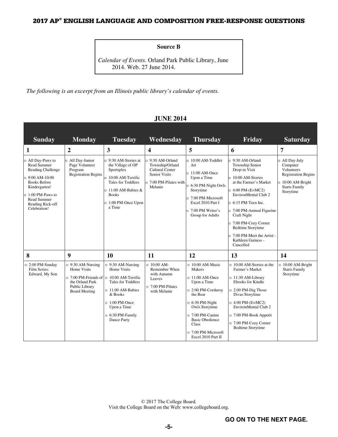#### **Source B**

*Calendar of Events.* Orland Park Public Library, June 2014. Web. 27 June 2014.

*The following is an excerpt from an Illinois public library's calendar of events.*

| <b>Sunday</b>                                                                                                                                                                                   | <b>Monday</b>                                                                                                                                         | <b>Tuesday</b>                                                                                                                                                                                  | Wednesday                                                                                                                              | <b>Thursday</b>                                                                                                                                                                                                                                                 | Friday                                                                                                                                                                                                                                                                                                                                                                    | <b>Saturday</b>                                                                                                                        |
|-------------------------------------------------------------------------------------------------------------------------------------------------------------------------------------------------|-------------------------------------------------------------------------------------------------------------------------------------------------------|-------------------------------------------------------------------------------------------------------------------------------------------------------------------------------------------------|----------------------------------------------------------------------------------------------------------------------------------------|-----------------------------------------------------------------------------------------------------------------------------------------------------------------------------------------------------------------------------------------------------------------|---------------------------------------------------------------------------------------------------------------------------------------------------------------------------------------------------------------------------------------------------------------------------------------------------------------------------------------------------------------------------|----------------------------------------------------------------------------------------------------------------------------------------|
| 1                                                                                                                                                                                               | $\overline{2}$                                                                                                                                        | $\overline{\mathbf{3}}$                                                                                                                                                                         | $\overline{\mathbf{4}}$                                                                                                                | 5                                                                                                                                                                                                                                                               | 6                                                                                                                                                                                                                                                                                                                                                                         | 7                                                                                                                                      |
| o All Day-Paws to<br><b>Read Summer</b><br>Reading Challenge<br>o 9:00 AM-10:00<br><b>Books Before</b><br>Kindergarten!<br>o 1:00 PM-Paws to<br>Read Summer<br>Reading Kick-off<br>Celebration! | o All Day-Junior<br>Page Volunteer<br>Program<br><b>Registration Begins</b>                                                                           | o 9:30 AM-Stories at<br>the Village of OP<br>Sportsplex<br>$\circ$ 10:00 AM-Terrific<br><b>Tales for Toddlers</b><br>$\circ$ 11:00 AM-Babies &<br><b>Books</b><br>o 1:00 PM-Once Upon<br>a Time | $\circ$ 9:30 AM-Orland<br>Township/Orland<br><b>Cultural Center</b><br><b>Senior Visits</b><br>$\circ$ 7:00 PM-Pilates with<br>Melanie | $\circ$ 10:00 AM-Toddler<br>Art<br>$\circ$ 11:00 AM-Once<br>Upon a Time<br>$\circ$ 6:30 PM-Night Owls<br>Storytime<br>$\circ$ 7:00 PM-Microsoft<br>Excel 2010 Part I<br>$\circ$ 7:00 PM Writer's<br>Group for Adults                                            | $\circ$ 9:30 AM-Orland<br>Township Senior<br>Drop-in Visit<br>$\circ$ 10:00 AM-Stories<br>at the Farmer's Market<br>$\circ$ 4:00 PM-(E=MC2)<br>EnvironMental Club 2<br>$\circ$ 6:15 PM-Teen Inc.<br>o 7:00 PM-Animal Figurine<br>Craft Night<br>o 7:00 PM-Cozy Corner<br><b>Bedtime Storytime</b><br>$\circ$ 7:00 PM-Meet the Artist -<br>Kathleen Garness -<br>Cancelled | o All Day-July<br>Computer<br>Volunteers<br><b>Registration Begins</b><br>$\circ$ 10:00 AM-Bright<br><b>Starts Family</b><br>Storytime |
| 8                                                                                                                                                                                               | 9                                                                                                                                                     | 10                                                                                                                                                                                              | 11                                                                                                                                     | 12                                                                                                                                                                                                                                                              | 13                                                                                                                                                                                                                                                                                                                                                                        | 14                                                                                                                                     |
| o 2:00 PM-Sunday<br>Film Series:<br>Edward, My Son                                                                                                                                              | o 9:30 AM-Nursing<br>Home Visits<br>$\circ$ 7:00 PM-Friends of $\circ$ 10:00 AM-Terrific<br>the Orland Park<br>Public Library<br><b>Board Meeting</b> | o 9:30 AM-Nursing<br><b>Home Visits</b><br><b>Tales for Toddlers</b><br>$\circ$ 11:00 AM-Babies<br>& Books<br>$\circ$ 1:00 PM-Once<br>Upon a Time<br>o 6:30 PM-Family<br>Dance Party            | $0.10:00$ AM-<br>Remember When<br>with Autumn<br>Leaves<br>o 7:00 PM-Pilates<br>with Melanie                                           | $\circ$ 10:00 AM-Music<br>Makers<br>$\circ$ 11:00 AM-Once<br>Upon a Time<br>o 2:00 PM-Corduroy<br>the Bear<br>$\circ$ 6:30 PM-Night<br>Owls Storytime<br>o 7:00 PM-Canine<br><b>Basic Obedience</b><br>Class<br>$\circ$ 7:00 PM-Microsoft<br>Excel 2010 Part II | $\circ$ 10:00 AM-Stories at the<br>Farmer's Market<br>$\circ$ 11:30 AM-Library<br><b>Ebooks for Kindle</b><br>o 2:00 PM-Dig Those<br>Divas Storytime<br>$\circ$ 4:00 PM-(E=MC2)<br>EnvironMental Club 2<br>o 7:00 PM-Book Appetit<br>o 7:00 PM-Cozy Corner<br><b>Bedtime Storytime</b>                                                                                    | $\circ$ 10:00 AM-Bright<br><b>Starts Family</b><br>Storytime                                                                           |

#### **JUNE 2014**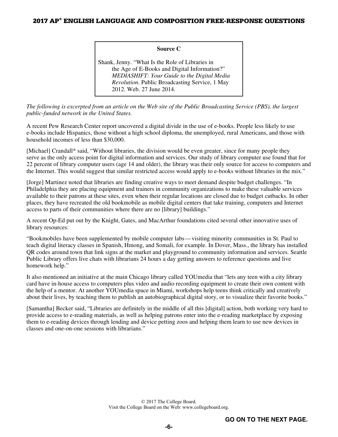#### **Source C**

Shank, Jenny. "What Is the Role of Libraries in the Age of E-Books and Digital Information?" *MEDIASHIFT: Your Guide to the Digital Media Revolution*. Public Broadcasting Service, 1 May 2012. Web. 27 June 2014.

*The following is excerpted from an article on the Web site of the Public Broadcasting Service (PBS), the largest public-funded network in the United States.* 

A recent Pew Research Center report uncovered a digital divide in the use of e-books. People less likely to use e-books include Hispanics, those without a high school diploma, the unemployed, rural Americans, and those with household incomes of less than \$30,000.

[Michael] Crandall\* said, "Without libraries, the division would be even greater, since for many people they serve as the only access point for digital information and services. Our study of library computer use found that for 22 percent of library computer users (age 14 and older), the library was their only source for access to computers and the Internet. This would suggest that similar restricted access would apply to e-books without libraries in the mix."

[Jorge] Martinez noted that libraries are finding creative ways to meet demand despite budget challenges. "In Philadelphia they are placing equipment and trainers in community organizations to make these valuable services available to their patrons at these sites, even when their regular locations are closed due to budget cutbacks. In other places, they have recreated the old bookmobile as mobile digital centers that take training, computers and Internet access to parts of their communities where there are no [library] buildings."

A recent Op-Ed put out by the Knight, Gates, and MacArthur foundations cited several other innovative uses of library resources:

"Bookmobiles have been supplemented by mobile computer labs—visiting minority communities in St. Paul to teach digital literacy classes in Spanish, Hmong, and Somali, for example. In Dover, Mass., the library has installed QR codes around town that link signs at the market and playground to community information and services. Seattle Public Library offers live chats with librarians 24 hours a day getting answers to reference questions and live homework help."

It also mentioned an initiative at the main Chicago library called YOUmedia that "lets any teen with a city library card have in-house access to computers plus video and audio recording equipment to create their own content with the help of a mentor. At another YOUmedia space in Miami, workshops help teens think critically and creatively about their lives, by teaching them to publish an autobiographical digital story, or to visualize their favorite books."

[Samantha] Becker said, "Libraries are definitely in the middle of all this [digital] action, both working very hard to provide access to e-reading materials, as well as helping patrons enter into the e-reading marketplace by exposing them to e-reading devices through lending and device petting zoos and helping them learn to use new devices in classes and one-on-one sessions with librarians."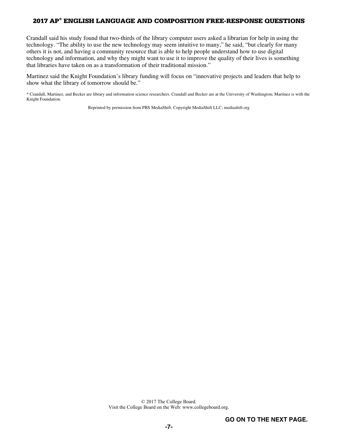Crandall said his study found that two-thirds of the library computer users asked a librarian for help in using the technology. "The ability to use the new technology may seem intuitive to many," he said, "but clearly for many others it is not, and having a community resource that is able to help people understand how to use digital technology and information, and why they might want to use it to improve the quality of their lives is something that libraries have taken on as a transformation of their traditional mission."

Martinez said the Knight Foundation's library funding will focus on "innovative projects and leaders that help to show what the library of tomorrow should be."

\* Crandall, Martinez, and Becker are library and information science researchers. Crandall and Becker are at the University of Washington; Martinez is with the Knight Foundation.

Reprinted by permission from PBS MediaShift. Copyright MediaShift LLC; mediashift.org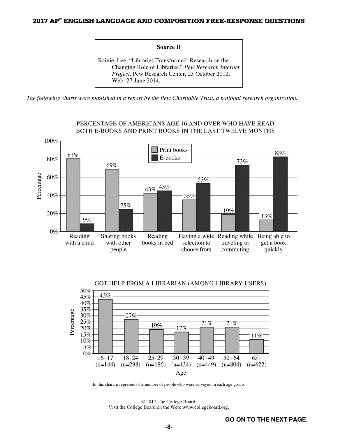#### **Source D**

Rainie, Lee. "Libraries Transformed: Research on the Changing Role of Libraries." *Pew Research Internet Project*. Pew Research Center, 23 October 2012. Web. 27 June 2014.

*The following charts were published in a report by the Pew Charitable Trust, a national research organization.* 



PERCENTAGE OF AMERICANS AGE 16 AND OVER WHO HAVE READ BOTH E-BOOKS AND PRINT BOOKS IN THE LAST TWELVE MONTHS



GOT HELP FROM A LIBRARIAN (AMONG LIBRARY USERS)

In this chart, n represents the number of people who were surveyed in each age group.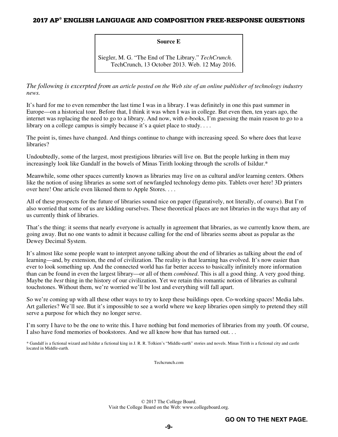#### **Source E**

Siegler, M. G. "The End of The Library." *TechCrunch.* TechCrunch, 13 October 2013. Web. 12 May 2016.

*The following is excerpted from an article posted on the Web site of an online publisher of technology industry news.* 

It's hard for me to even remember the last time I was in a library. I was definitely in one this past summer in Europe—on a historical tour. Before that, I think it was when I was in college. But even then, ten years ago, the internet was replacing the need to go to a library. And now, with e-books, I'm guessing the main reason to go to a library on a college campus is simply because it's a quiet place to study....

The point is, times have changed. And things continue to change with increasing speed. So where does that leave libraries?

Undoubtedly, some of the largest, most prestigious libraries will live on. But the people lurking in them may increasingly look like Gandalf in the bowels of Minas Tirith looking through the scrolls of Isildur.\*

Meanwhile, some other spaces currently known as libraries may live on as cultural and/or learning centers. Others like the notion of using libraries as some sort of newfangled technology demo pits. Tablets over here! 3D printers over here! One article even likened them to Apple Stores. . . .

All of these prospects for the future of libraries sound nice on paper (figuratively, not literally, of course). But I'm also worried that some of us are kidding ourselves. These theoretical places are not libraries in the ways that any of us currently think of libraries.

That's the thing: it seems that nearly everyone is actually in agreement that libraries, as we currently know them, are going away. But no one wants to admit it because calling for the end of libraries seems about as popular as the Dewey Decimal System.

It's almost like some people want to interpret anyone talking about the end of libraries as talking about the end of learning—and, by extension, the end of civilization. The reality is that learning has evolved. It's now easier than ever to look something up. And the connected world has far better access to basically infinitely more information than can be found in even the largest library—or all of them *combined*. This is all a good thing. A very good thing. Maybe the *best* thing in the history of our civilization. Yet we retain this romantic notion of libraries as cultural touchstones. Without them, we're worried we'll be lost and everything will fall apart.

So we're coming up with all these other ways to try to keep these buildings open. Co-working spaces! Media labs. Art galleries? We'll see. But it's impossible to see a world where we keep libraries open simply to pretend they still serve a purpose for which they no longer serve.

I'm sorry I have to be the one to write this. I have nothing but fond memories of libraries from my youth. Of course, I also have fond memories of bookstores. And we all know how that has turned out. . .

\* Gandalf is a fictional wizard and Isildur a fictional king in J. R. R. Tolkien's "Middle-earth" stories and novels. Minas Tirith is a fictional city and castle located in Middle-earth.

Techcrunch.com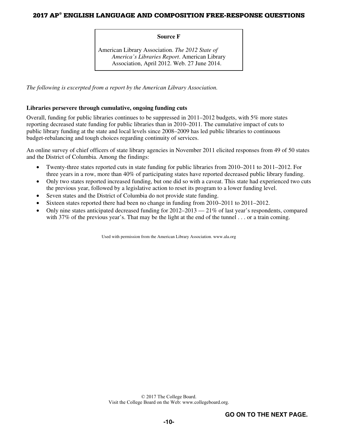**Source F** 

American Library Association. *The 2012 State of America's Libraries Report*. American Library Association, April 2012. Web. 27 June 2014.

*The following is excerpted from a report by the American Library Association.* 

### **Libraries persevere through cumulative, ongoing funding cuts**

Overall, funding for public libraries continues to be suppressed in 2011–2012 budgets, with 5% more states reporting decreased state funding for public libraries than in 2010–2011. The cumulative impact of cuts to public library funding at the state and local levels since 2008–2009 has led public libraries to continuous budget-rebalancing and tough choices regarding continuity of services.

An online survey of chief officers of state library agencies in November 2011 elicited responses from 49 of 50 states and the District of Columbia. Among the findings:

- Twenty-three states reported cuts in state funding for public libraries from 2010–2011 to 2011–2012. For three years in a row, more than 40% of participating states have reported decreased public library funding.
- Only two states reported increased funding, but one did so with a caveat. This state had experienced two cuts the previous year, followed by a legislative action to reset its program to a lower funding level.
- Seven states and the District of Columbia do not provide state funding.
- Sixteen states reported there had been no change in funding from 2010–2011 to 2011–2012.
- Only nine states anticipated decreased funding for 2012–2013 21% of last year's respondents, compared with 37% of the previous year's. That may be the light at the end of the tunnel . . . or a train coming.

Used with permission from the American Library Association. www.ala.org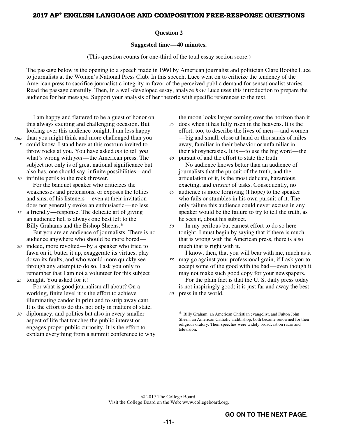#### **Question 2**

#### **Suggested time—40 minutes.**

(This question counts for one-third of the total essay section score.)

The passage below is the opening to a speech made in 1960 by American journalist and politician Clare Boothe Luce to journalists at the Women's National Press Club. In this speech, Luce went on to criticize the tendency of the American press to sacrifice journalistic integrity in favor of the perceived public demand for sensationalist stories. Read the passage carefully. Then, in a well-developed essay, analyze *how* Luce uses this introduction to prepare the audience for her message. Support your analysis of her rhetoric with specific references to the text.

I am happy and flattered to be a guest of honor on this always exciting and challenging occasion. But looking over this audience tonight, I am less happy than you might think and more challenged than you

- could know. I stand here at this rostrum invited to throw rocks at you. You have asked *me* to tell *you*  what's wrong with *you*—the American press. The subject not only is of great national significance but also has, one should say, infinite possibilities—and *10* infinite perils to the rock thrower. *Line 5*
	- For the banquet speaker who criticizes the weaknesses and pretensions, or exposes the follies and sins, of his listeners—even at their invitation does not generally evoke an enthusiastic—no less
	- *15* a friendly—response. The delicate art of giving an audience hell is always one best left to the Billy Grahams and the Bishop Sheens.\*

But you are an audience of journalists. There is no audience anywhere who should be more bored—

*20* indeed, more revolted—by a speaker who tried to fawn on it, butter it up, exaggerate its virtues, play down its faults, and who would more quickly see through any attempt to do so. I ask you only to remember that I am not a volunteer for this subject *25* tonight. You asked for it!

For what is good journalism all about? On a working, finite level it is the effort to achieve illuminating candor in print and to strip away cant. It is the effort to do this not only in matters of state,

*30* diplomacy, and politics but also in every smaller aspect of life that touches the public interest or engages proper public curiosity. It is the effort to explain everything from a summit conference to why the moon looks larger coming over the horizon than it

*35* does when it has fully risen in the heavens. It is the effort, too, to describe the lives of men—and women —big and small, close at hand or thousands of miles away, familiar in their behavior or unfamiliar in their idiosyncrasies. It is—to use the big word—the

*40* pursuit of and the effort to state the truth. No audience knows better than an audience of journalists that the pursuit of the truth, and the articulation of it, is the most delicate, hazardous, exacting, and *inexact* of tasks. Consequently, no

- *45* audience is more forgiving (I hope) to the speaker who fails or stumbles in his own pursuit of it. The only failure this audience could never excuse in any speaker would be the failure to try to tell the truth, as he sees it, about his subject.
- *50* In my perilous but earnest effort to do so here tonight, I must begin by saying that if there is much that is wrong with the American press, there is also much that is right with it.

I know, then, that you will bear with me, much as it *55* may go against your professional grain, if I ask you to accept some of the good with the bad—even though it may not make such good copy for your newspapers.

For the plain fact is that the U. S. daily press today is not inspiringly good; it is just far and away the best *60* press in the world.

<sup>\*</sup> Billy Graham, an American Christian evangelist, and Fulton John Sheen, an American Catholic archbishop, both became renowned for their religious oratory. Their speeches were widely broadcast on radio and television.